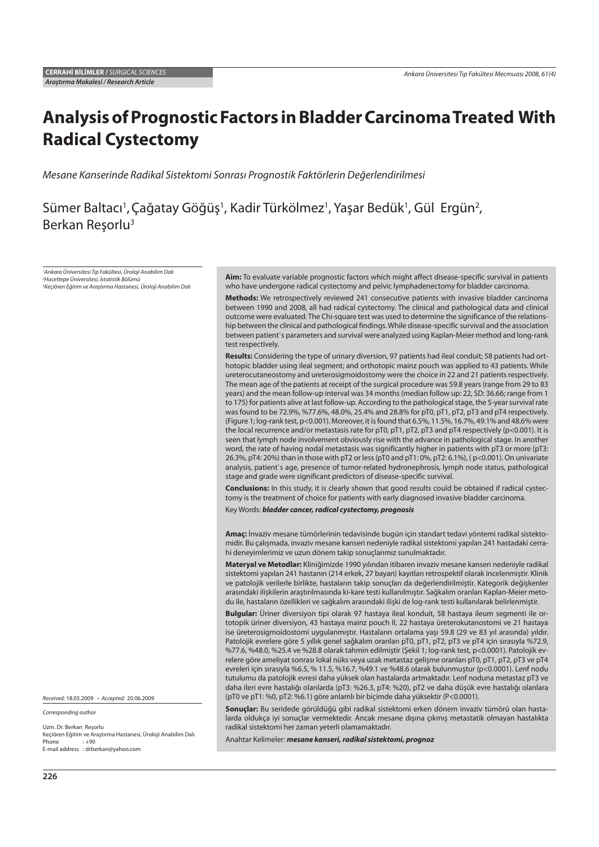# **Analysis of Prognostic Factors in Bladder Carcinoma Treated With Radical Cystectomy**

Mesane Kanserinde Radikal Sistektomi Sonrası Prognostik Faktörlerin Değerlendirilmesi

Sümer Baltacı<sup>1</sup>, Çağatay Göğüş<sup>1</sup>, Kadir Türkölmez<sup>1</sup>, Yaşar Bedük<sup>1</sup>, Gül Ergün<sup>2</sup>, Berkan Reşorlu3

1 Ankara Üniversitesi Tıp Fakültesi, Üroloji Anabilim Dalı 2 Hacettepe Üniversitesi, İstatistik Bölümü 3 Keçiören Eğitim ve Araştırma Hastanesi, Üroloji Anabilim Dalı

Received: 18.05.2009 • Accepted: 20.06.2009

Corresponding author

Uzm. Dr. Berkan Reşorlu Keçiören Eğitim ve Araştırma Hastanesi, Üroloji Anabilim Dalı  $: +90$ E-mail address : drberkan@yahoo.com

Aim: To evaluate variable prognostic factors which might affect disease-specific survival in patients who have undergone radical cystectomy and pelvic lymphadenectomy for bladder carcinoma.

**Methods:** We retrospectively reviewed 241 consecutive patients with invasive bladder carcinoma between 1990 and 2008, all had radical cystectomy. The clinical and pathological data and clinical outcome were evaluated. The Chi-square test was used to determine the significance of the relationship between the clinical and pathological findings. While disease-specific survival and the association between patient`s parameters and survival were analyzed using Kaplan-Meier method and long-rank test respectively.

**Results:** Considering the type of urinary diversion, 97 patients had ileal conduit; 58 patients had orthotopic bladder using ileal segment; and orthotopic mainz pouch was applied to 43 patients. While ureterocutaneostomy and ureterosigmoidostomy were the choice in 22 and 21 patients respectively. The mean age of the patients at receipt of the surgical procedure was 59.8 years (range from 29 to 83 years) and the mean follow-up interval was 34 months (median follow up: 22, SD: 36.66; range from 1 to 175) for patients alive at last follow-up. According to the pathological stage, the 5-year survival rate was found to be 72.9%, %77.6%, 48.0%, 25.4% and 28.8% for pT0, pT1, pT2, pT3 and pT4 respectively. (Figure 1; log-rank test, p<0.001). Moreover, it is found that 6.5%, 11.5%, 16.7%, 49.1% and 48.6% were the local recurrence and/or metastasis rate for pT0, pT1, pT2, pT3 and pT4 respectively (p<0.001). It is seen that lymph node involvement obviously rise with the advance in pathological stage. In another word, the rate of having nodal metastasis was significantly higher in patients with pT3 or more (pT3: 26.3%, pT4: 20%) than in those with pT2 or less (pT0 and pT1: 0%, pT2: 6.1%), ( p<0.001). On univariate analysis, patient`s age, presence of tumor-related hydronephrosis, lymph node status, pathological stage and grade were significant predictors of disease-specific survival.

**Conclusions:** In this study, it is clearly shown that good results could be obtained if radical cystectomy is the treatment of choice for patients with early diagnosed invasive bladder carcinoma.

Key Words: *bladder cancer, radical cystectomy, prognosis*

**Amaç:** İnvaziv mesane tümörlerinin tedavisinde bugün için standart tedavi yöntemi radikal sistektomidir. Bu çalışmada, invaziv mesane kanseri nedeniyle radikal sistektomi yapılan 241 hastadaki cerrahi deneyimlerimiz ve uzun dönem takip sonuçlarımız sunulmaktadır.

**Materyal ve Metodlar:** Kliniğimizde 1990 yılından itibaren invaziv mesane kanseri nedeniyle radikal sistektomi yapılan 241 hastanın (214 erkek, 27 bayan) kayıtları retrospektif olarak incelenmiştir. Klinik ve patolojik verilerle birlikte, hastaların takip sonuçları da değerlendirilmiştir. Kategorik değişkenler arasındaki ilişkilerin araştırılmasında ki-kare testi kullanılmıştır. Sağkalım oranları Kaplan-Meier metodu ile, hastaların özellikleri ve sağkalım arasındaki ilişki de log-rank testi kullanılarak belirlenmiştir.

**Bulgular:** Üriner diversiyon tipi olarak 97 hastaya ileal konduit, 58 hastaya ileum segmenti ile ortotopik üriner diversiyon, 43 hastaya mainz pouch II, 22 hastaya üreterokutanostomi ve 21 hastaya ise üreterosigmoidostomi uygulanmıştır. Hastaların ortalama yaşı 59.8 (29 ve 83 yıl arasında) yıldır. Patolojik evrelere göre 5 yıllık genel sağkalım oranları pT0, pT1, pT2, pT3 ve pT4 için sırasıyla %72.9, %77.6, %48.0, %25.4 ve %28.8 olarak tahmin edilmiştir (Şekil 1; log-rank test, p<0.0001). Patolojik evrelere göre ameliyat sonrası lokal nüks veya uzak metastaz gelişme oranları pT0, pT1, pT2, pT3 ve pT4 evreleri için sırasıyla %6.5, % 11.5, %16.7, %49.1 ve %48.6 olarak bulunmuştur (p<0.0001). Lenf nodu tutulumu da patolojik evresi daha yüksek olan hastalarda artmaktadır. Lenf noduna metastaz pT3 ve daha ileri evre hastalığı olanlarda (pT3: %26.3, pT4: %20), pT2 ve daha düşük evre hastalığı olanlara (pT0 ve pT1: %0, pT2: %6.1) göre anlamlı bir biçimde daha yüksektir (P<0.0001).

**Sonuçlar:** Bu seridede görüldüğü gibi radikal sistektomi erken dönem invaziv tümörü olan hastalarda oldukça iyi sonuçlar vermektedir. Ancak mesane dışına çıkmış metastatik olmayan hastalıkta radikal sistektomi her zaman yeterli olamamaktadır.

Anahtar Kelimeler: *mesane kanseri, radikal sistektomi, prognoz*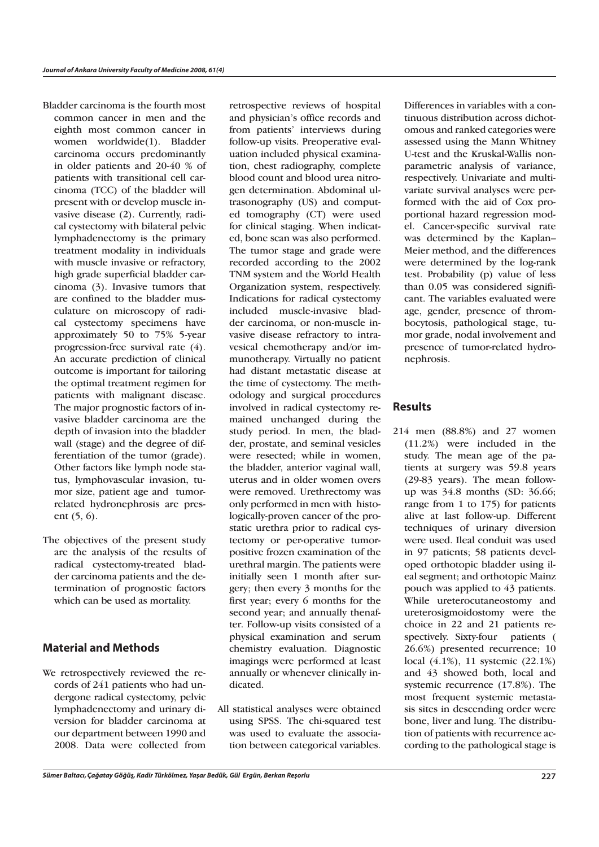Bladder carcinoma is the fourth most common cancer in men and the eighth most common cancer in women worldwide(1). Bladder carcinoma occurs predominantly in older patients and 20-40 % of patients with transitional cell carcinoma (TCC) of the bladder will present with or develop muscle invasive disease (2). Currently, radical cystectomy with bilateral pelvic lymphadenectomy is the primary treatment modality in individuals with muscle invasive or refractory, high grade superficial bladder carcinoma (3). Invasive tumors that are confined to the bladder musculature on microscopy of radical cystectomy specimens have approximately 50 to 75% 5-year progression-free survival rate (4). An accurate prediction of clinical outcome is important for tailoring the optimal treatment regimen for patients with malignant disease. The major prognostic factors of invasive bladder carcinoma are the depth of invasion into the bladder wall (stage) and the degree of differentiation of the tumor (grade). Other factors like lymph node status, lymphovascular invasion, tumor size, patient age and tumorrelated hydronephrosis are present (5, 6).

The objectives of the present study are the analysis of the results of radical cystectomy-treated bladder carcinoma patients and the determination of prognostic factors which can be used as mortality.

#### **Material and Methods**

We retrospectively reviewed the records of 241 patients who had undergone radical cystectomy, pelvic lymphadenectomy and urinary diversion for bladder carcinoma at our department between 1990 and 2008. Data were collected from retrospective reviews of hospital and physician's office records and from patients' interviews during follow-up visits. Preoperative evaluation included physical examination, chest radiography, complete blood count and blood urea nitrogen determination. Abdominal ultrasonography (US) and computed tomography (CT) were used for clinical staging. When indicated, bone scan was also performed. The tumor stage and grade were recorded according to the 2002 TNM system and the World Health Organization system, respectively. Indications for radical cystectomy included muscle-invasive bladder carcinoma, or non-muscle invasive disease refractory to intravesical chemotherapy and/or immunotherapy. Virtually no patient had distant metastatic disease at the time of cystectomy. The methodology and surgical procedures involved in radical cystectomy remained unchanged during the study period. In men, the bladder, prostate, and seminal vesicles were resected; while in women, the bladder, anterior vaginal wall, uterus and in older women overs were removed. Urethrectomy was only performed in men with histologically-proven cancer of the prostatic urethra prior to radical cystectomy or per-operative tumorpositive frozen examination of the urethral margin. The patients were initially seen 1 month after surgery; then every 3 months for the first year; every 6 months for the second year; and annually thenafter. Follow-up visits consisted of a physical examination and serum chemistry evaluation. Diagnostic imagings were performed at least annually or whenever clinically indicated.

All statistical analyses were obtained using SPSS. The chi-squared test was used to evaluate the association between categorical variables.

Differences in variables with a continuous distribution across dichotomous and ranked categories were assessed using the Mann Whitney U-test and the Kruskal-Wallis nonparametric analysis of variance, respectively. Univariate and multivariate survival analyses were performed with the aid of Cox proportional hazard regression model. Cancer-specific survival rate was determined by the Kaplan– Meier method, and the differences were determined by the log-rank test. Probability (p) value of less than 0.05 was considered significant. The variables evaluated were age, gender, presence of thrombocytosis, pathological stage, tumor grade, nodal involvement and presence of tumor-related hydronephrosis.

## **Results**

214 men (88.8%) and 27 women (11.2%) were included in the study. The mean age of the patients at surgery was 59.8 years (29-83 years). The mean followup was 34.8 months (SD: 36.66; range from 1 to 175) for patients alive at last follow-up. Different techniques of urinary diversion were used. Ileal conduit was used in 97 patients; 58 patients developed orthotopic bladder using ileal segment; and orthotopic Mainz pouch was applied to 43 patients. While ureterocutaneostomy and ureterosigmoidostomy were the choice in 22 and 21 patients respectively. Sixty-four patients ( 26.6%) presented recurrence; 10 local (4.1%), 11 systemic (22.1%) and 43 showed both, local and systemic recurrence (17.8%). The most frequent systemic metastasis sites in descending order were bone, liver and lung. The distribution of patients with recurrence according to the pathological stage is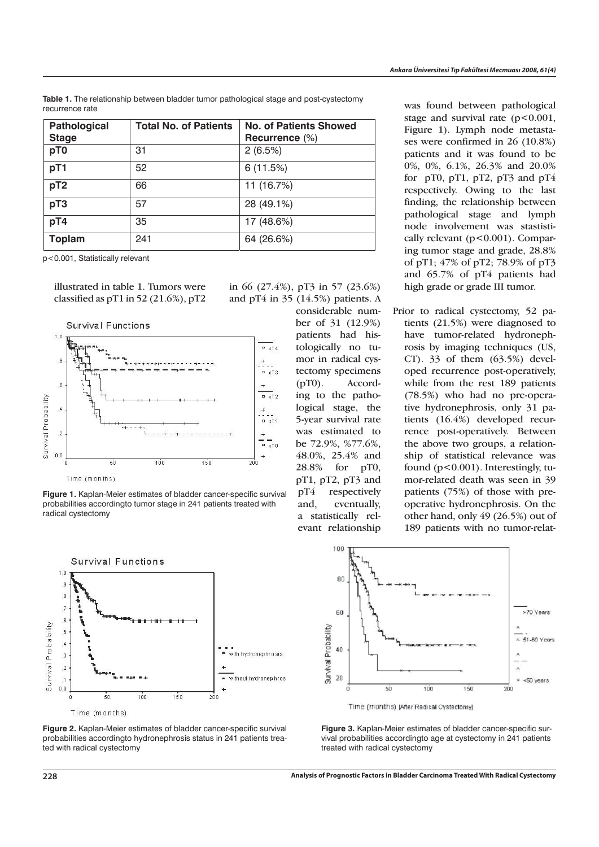**Pathological Stage**  Total No. of Patients | No. of Patients Showed **Recurrence** (%) **pT0** 31 2 (6.5%) **pT1**  $\vert$  52 6 (11.5%) **pT2**  $\begin{array}{|c|c|c|c|c|c|} \hline \textbf{66} & & \textbf{11 (16.7%)} \hline \end{array}$ **pT3** 57 28 (49.1%) **pT4**  $35$  17 (48.6%) **Toplam** 241 64 (26.6%)

**Table 1.** The relationship between bladder tumor pathological stage and post-cystectomy recurrence rate

p<0.001, Statistically relevant

illustrated in table 1. Tumors were classified as  $pT1$  in 52 (21.6%),  $pT2$ 



**Figure 1.** Kaplan-Meier estimates of bladder cancer-specific survival probabilities accordingto tumor stage in 241 patients treated with radical cystectomy





in 66 (27.4%), pT3 in 57 (23.6%)

and pT4 in 35 (14.5%) patients. A considerable number of 31 (12.9%) patients had histologically no tumor in radical cystectomy specimens (pT0). According to the pathological stage, the 5-year survival rate was estimated to be 72.9%, %77.6%, 48.0%, 25.4% and 28.8% for pT0, pT1, pT2, pT3 and pT4 respectively and, eventually, a statistically relevant relationship was found between pathological stage and survival rate  $(p<0.001$ , Figure 1). Lymph node metastases were confirmed in 26 (10.8%) patients and it was found to be 0%, 0%, 6.1%, 26.3% and 20.0% for  $pT0$ ,  $pT1$ ,  $pT2$ ,  $pT3$  and  $pT4$ respectively. Owing to the last finding, the relationship between pathological stage and lymph node involvement was stastistically relevant  $(p<0.001)$ . Comparing tumor stage and grade, 28.8% of pT1; 47% of pT2; 78.9% of pT3 and 65.7% of pT4 patients had high grade or grade III tumor.

Prior to radical cystectomy, 52 patients (21.5%) were diagnosed to have tumor-related hydronephrosis by imaging techniques (US, CT). 33 of them (63.5%) developed recurrence post-operatively, while from the rest 189 patients (78.5%) who had no pre-operative hydronephrosis, only 31 patients (16.4%) developed recurrence post-operatively. Between the above two groups, a relationship of statistical relevance was found (p<0.001). Interestingly, tumor-related death was seen in 39 patients (75%) of those with preoperative hydronephrosis. On the other hand, only 49 (26.5%) out of 189 patients with no tumor-relat-



Time (months) [After Radical Cystectomy]

**Figure 3.** Kaplan-Meier estimates of bladder cancer-specific survival probabilities accordingto age at cystectomy in 241 patients treated with radical cystectomy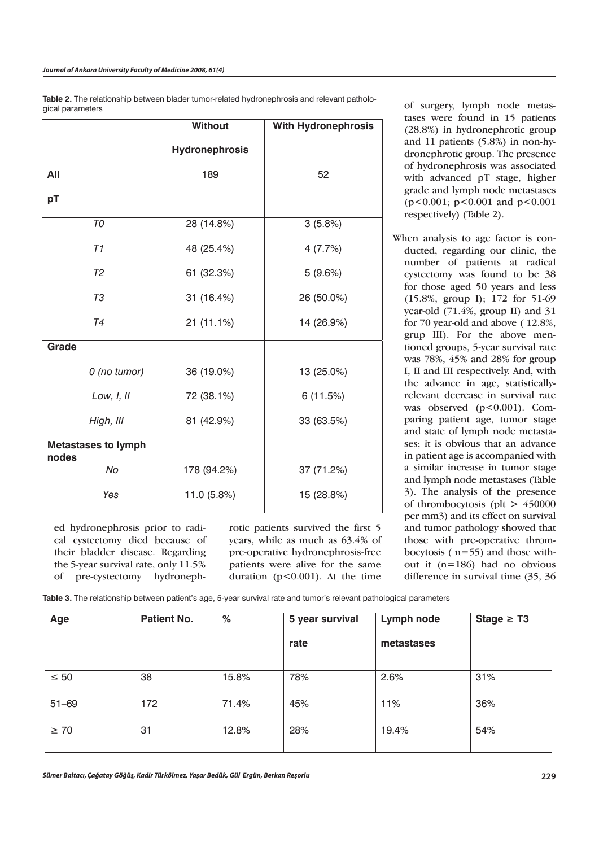**Table 2.** The relationship between blader tumor-related hydronephrosis and relevant pathological parameters

|                                     | <b>Without</b>        | With Hydronephrosis<br>52 |  |
|-------------------------------------|-----------------------|---------------------------|--|
|                                     | <b>Hydronephrosis</b> |                           |  |
| All                                 | 189                   |                           |  |
| pT                                  |                       |                           |  |
| T <sub>0</sub>                      | 28 (14.8%)            | 3(5.8%)                   |  |
| $\overline{T1}$                     | 48 (25.4%)            | 4(7.7%)                   |  |
| T <sub>2</sub>                      | 61 (32.3%)            | 5(9.6%)                   |  |
| <b>T3</b>                           | 31 (16.4%)            | 26 (50.0%)                |  |
| T <sub>4</sub>                      | 21 (11.1%)            | 14 (26.9%)                |  |
| Grade                               |                       |                           |  |
| 0 (no tumor)                        | 36 (19.0%)            | 13 (25.0%)                |  |
| Low, I, II                          | 72 (38.1%)            | 6 (11.5%)                 |  |
| High, III                           | 81 (42.9%)            | 33 (63.5%)                |  |
| <b>Metastases to lymph</b><br>nodes |                       |                           |  |
| No                                  | 178 (94.2%)           | 37 (71.2%)                |  |
| Yes                                 | 11.0 (5.8%)           | 15 (28.8%)                |  |

ed hydronephrosis prior to radical cystectomy died because of their bladder disease. Regarding the 5-year survival rate, only 11.5% of pre-cystectomy hydronephrotic patients survived the first 5 years, while as much as 63.4% of pre-operative hydronephrosis-free patients were alive for the same duration  $(p<0.001)$ . At the time

of surgery, lymph node metastases were found in 15 patients (28.8%) in hydronephrotic group and 11 patients (5.8%) in non-hydronephrotic group. The presence of hydronephrosis was associated with advanced pT stage, higher grade and lymph node metastases (p<0.001; p<0.001 and p<0.001 respectively) (Table 2).

When analysis to age factor is conducted, regarding our clinic, the number of patients at radical cystectomy was found to be 38 for those aged 50 years and less (15.8%, group I); 172 for 51-69 year-old (71.4%, group II) and 31 for 70 year-old and above ( 12.8%, grup III). For the above mentioned groups, 5-year survival rate was 78%, 45% and 28% for group I, II and III respectively. And, with the advance in age, statisticallyrelevant decrease in survival rate was observed (p<0.001). Comparing patient age, tumor stage and state of lymph node metastases; it is obvious that an advance in patient age is accompanied with a similar increase in tumor stage and lymph node metastases (Table 3). The analysis of the presence of thrombocytosis (plt  $> 450000$ per mm3) and its effect on survival and tumor pathology showed that those with pre-operative thrombocytosis ( n=55) and those without it (n=186) had no obvious difference in survival time (35, 36

**Table 3.** The relationship between patient's age, 5-year survival rate and tumor's relevant pathological parameters

| Age       | <b>Patient No.</b> | %     | 5 year survival | Lymph node | Stage $\geq$ T3 |
|-----------|--------------------|-------|-----------------|------------|-----------------|
|           |                    |       | rate            | metastases |                 |
| $\leq 50$ | 38                 | 15.8% | 78%             | 2.6%       | 31%             |
| $51 - 69$ | 172                | 71.4% | 45%             | 11%        | 36%             |
| $\geq 70$ | 31                 | 12.8% | 28%             | 19.4%      | 54%             |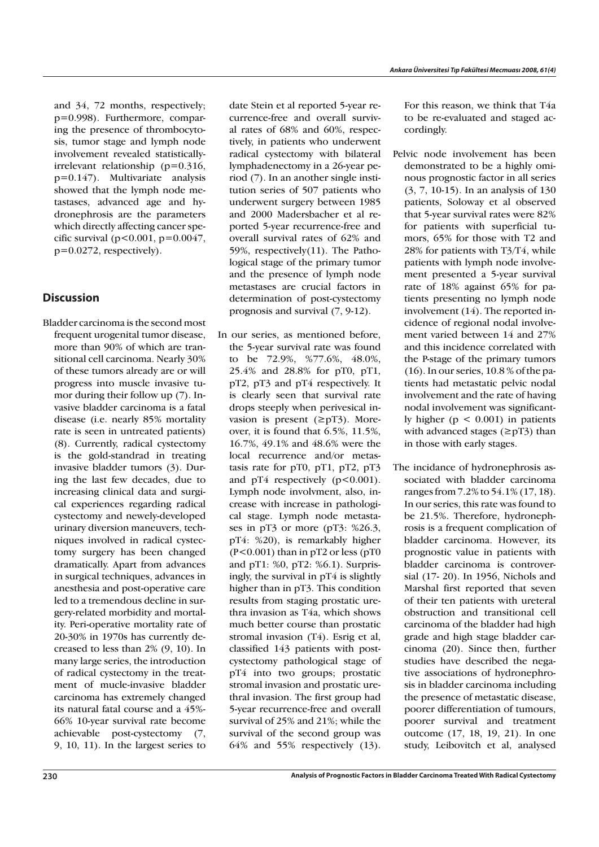and 34, 72 months, respectively; p=0.998). Furthermore, comparing the presence of thrombocytosis, tumor stage and lymph node involvement revealed statisticallyirrelevant relationship (p=0.316, p=0.147). Multivariate analysis showed that the lymph node metastases, advanced age and hydronephrosis are the parameters which directly affecting cancer specific survival ( $p < 0.001$ ,  $p = 0.0047$ , p=0.0272, respectively).

## **Discussion**

Bladder carcinoma is the second most frequent urogenital tumor disease, more than 90% of which are transitional cell carcinoma. Nearly 30% of these tumors already are or will progress into muscle invasive tumor during their follow up (7). Invasive bladder carcinoma is a fatal disease (i.e. nearly 85% mortality rate is seen in untreated patients) (8). Currently, radical cystectomy is the gold-standrad in treating invasive bladder tumors (3). During the last few decades, due to increasing clinical data and surgical experiences regarding radical cystectomy and newely-developed urinary diversion maneuvers, techniques involved in radical cystectomy surgery has been changed dramatically. Apart from advances in surgical techniques, advances in anesthesia and post-operative care led to a tremendous decline in surgery-related morbidity and mortality. Peri-operative mortality rate of 20-30% in 1970s has currently decreased to less than 2% (9, 10). In many large series, the introduction of radical cystectomy in the treatment of mucle-invasive bladder carcinoma has extremely changed its natural fatal course and a 45%- 66% 10-year survival rate become achievable post-cystectomy (7, 9, 10, 11). In the largest series to

date Stein et al reported 5-year recurrence-free and overall survival rates of 68% and 60%, respectively, in patients who underwent radical cystectomy with bilateral lymphadenectomy in a 26-year period (7). In an another single institution series of 507 patients who underwent surgery between 1985 and 2000 Madersbacher et al reported 5-year recurrence-free and overall survival rates of 62% and 59%, respectively(11). The Pathological stage of the primary tumor and the presence of lymph node metastases are crucial factors in determination of post-cystectomy prognosis and survival (7, 9-12).

In our series, as mentioned before, the 5-year survival rate was found to be 72.9%, %77.6%, 48.0%, 25.4% and 28.8% for pT0, pT1, pT2, pT3 and pT4 respectively. It is clearly seen that survival rate drops steeply when perivesical invasion is present  $(\geq pT3)$ . Moreover, it is found that 6.5%, 11.5%, 16.7%, 49.1% and 48.6% were the local recurrence and/or metastasis rate for pT0, pT1, pT2, pT3 and  $pT4$  respectively  $(p<0.001)$ . Lymph node involvment, also, increase with increase in pathological stage. Lymph node metastases in pT3 or more (pT3: %26.3, pT4: %20), is remarkably higher  $(P<0.001)$  than in pT2 or less (pT0 and pT1: %0, pT2: %6.1). Surprisingly, the survival in pT4 is slightly higher than in pT3. This condition results from staging prostatic urethra invasion as T4a, which shows much better course than prostatic stromal invasion (T4). Esrig et al, classified 143 patients with postcystectomy pathological stage of pT4 into two groups; prostatic stromal invasion and prostatic urethral invasion. The first group had 5-year recurrence-free and overall survival of 25% and 21%; while the survival of the second group was 64% and 55% respectively (13).

For this reason, we think that T4a to be re-evaluated and staged accordingly.

- Pelvic node involvement has been demonstrated to be a highly ominous prognostic factor in all series (3, 7, 10-15). In an analysis of 130 patients, Soloway et al observed that 5-year survival rates were 82% for patients with superficial tumors, 65% for those with T2 and 28% for patients with T3/T4, while patients with lymph node involvement presented a 5-year survival rate of 18% against 65% for patients presenting no lymph node involvement (14). The reported incidence of regional nodal involvement varied between 14 and 27% and this incidence correlated with the P-stage of the primary tumors (16). In our series, 10.8 % of the patients had metastatic pelvic nodal involvement and the rate of having nodal involvement was significantly higher ( $p < 0.001$ ) in patients with advanced stages  $(\geq pT3)$  than in those with early stages.
- The incidance of hydronephrosis associated with bladder carcinoma ranges from 7.2% to 54.1% (17, 18). In our series, this rate was found to be 21.5%. Therefore, hydronephrosis is a frequent complication of bladder carcinoma. However, its prognostic value in patients with bladder carcinoma is controversial (17- 20). In 1956, Nichols and Marshal first reported that seven of their ten patients with ureteral obstruction and transitional cell carcinoma of the bladder had high grade and high stage bladder carcinoma (20). Since then, further studies have described the negative associations of hydronephrosis in bladder carcinoma including the presence of metastatic disease, poorer differentiation of tumours, poorer survival and treatment outcome (17, 18, 19, 21). In one study, Leibovitch et al, analysed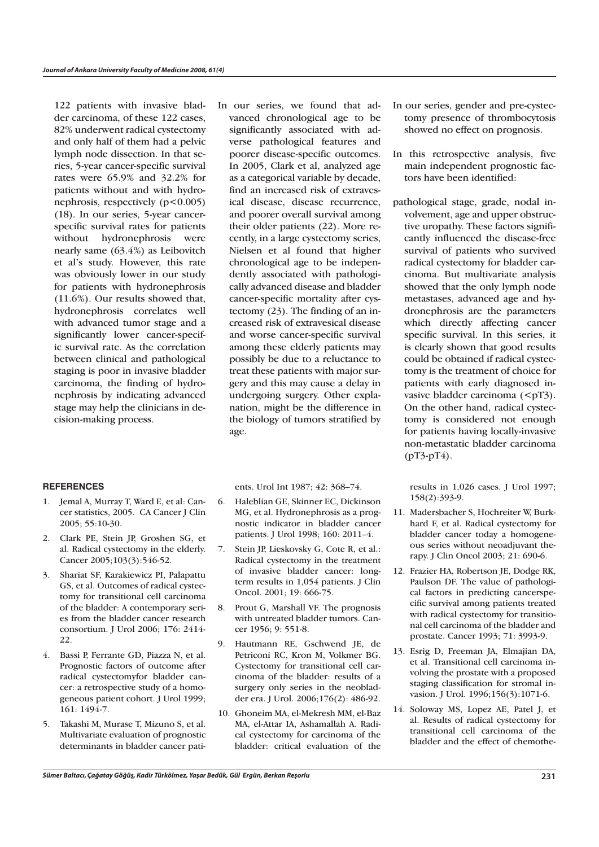122 patients with invasive bladder carcinoma, of these 122 cases, 82% underwent radical cystectomy and only half of them had a pelvic lymph node dissection. In that series, 5-year cancer-specific survival rates were 65.9% and 32.2% for patients without and with hydronephrosis, respectively  $(p<0.005)$ (18). In our series, 5-year cancerspecific survival rates for patients without hydronephrosis were nearly same (63.4%) as Leibovitch et al's study. However, this rate was obviously lower in our study for patients with hydronephrosis (11.6%). Our results showed that, hydronephrosis correlates well with advanced tumor stage and a significantly lower cancer-specific survival rate. As the correlation between clinical and pathological staging is poor in invasive bladder carcinoma, the finding of hydronephrosis by indicating advanced stage may help the clinicians in decision-making process.

#### **REFERENCES**

- 1. Jemal A, Murray T, Ward E, et al: Cancer statistics, 2005. CA Cancer J Clin 2005; 55:10-30.
- 2. Clark PE, Stein JP, Groshen SG, et al. Radical cystectomy in the elderly. Cancer 2005;103(3):546-52.
- 3. Shariat SF, Karakiewicz PI, Palapattu GS, et al. Outcomes of radical cystectomy for transitional cell carcinoma of the bladder: A contemporary series from the bladder cancer research consortium. J Urol 2006; 176: 2414- 22.
- 4. Bassi P, Ferrante GD, Piazza N, et al. Prognostic factors of outcome after radical cystectomyfor bladder cancer: a retrospective study of a homogeneous patient cohort. J Urol 1999; 161: 1494-7.
- 5. Takashi M, Murase T, Mizuno S, et al. Multivariate evaluation of prognostic determinants in bladder cancer pati-

In our series, we found that advanced chronological age to be significantly associated with adverse pathological features and poorer disease-specific outcomes. In 2005, Clark et al, analyzed age as a categorical variable by decade, find an increased risk of extravesical disease, disease recurrence, and poorer overall survival among their older patients (22). More recently, in a large cystectomy series, Nielsen et al found that higher chronological age to be independently associated with pathologically advanced disease and bladder cancer-specific mortality after cystectomy (23). The finding of an increased risk of extravesical disease and worse cancer-specific survival among these elderly patients may possibly be due to a reluctance to treat these patients with major surgery and this may cause a delay in undergoing surgery. Other explanation, might be the difference in the biology of tumors stratified by age.

ents. Urol Int 1987; 42: 368–74.

- 6. Haleblian GE, Skinner EC, Dickinson MG, et al. Hydronephrosis as a prognostic indicator in bladder cancer patients. J Urol 1998; 160: 2011–4.
- 7. Stein JP, Lieskovsky G, Cote R, et al.: Radical cystectomy in the treatment of invasive bladder cancer: longterm results in 1,054 patients. J Clin Oncol. 2001; 19: 666-75.
- 8. Prout G, Marshall VF. The prognosis with untreated bladder tumors. Cancer 1956; 9: 551-8.
- 9. Hautmann RE, Gschwend JE, de Petriconi RC, Kron M, Volkmer BG. Cystectomy for transitional cell carcinoma of the bladder: results of a surgery only series in the neobladder era. J Urol. 2006;176(2): 486-92.
- 10. Ghoneim MA, el-Mekresh MM, el-Baz MA, el-Attar IA, Ashamallah A. Radical cystectomy for carcinoma of the bladder: critical evaluation of the
- In our series, gender and pre-cystectomy presence of thrombocytosis showed no effect on prognosis.
- In this retrospective analysis, five main independent prognostic factors have been identified:
- pathological stage, grade, nodal involvement, age and upper obstructive uropathy. These factors significantly influenced the disease-free survival of patients who survived radical cystectomy for bladder carcinoma. But multivariate analysis showed that the only lymph node metastases, advanced age and hydronephrosis are the parameters which directly affecting cancer specific survival. In this series, it is clearly shown that good results could be obtained if radical cystectomy is the treatment of choice for patients with early diagnosed invasive bladder carcinoma  $(5pT3)$ . On the other hand, radical cystectomy is considered not enough for patients having locally-invasive non-metastatic bladder carcinoma (pT3-pT4).

results in 1,026 cases. J Urol 1997; 158(2):393-9.

- 11. Madersbacher S, Hochreiter W, Burkhard F, et al. Radical cystectomy for bladder cancer today a homogeneous series without neoadjuvant therapy. J Clin Oncol 2003; 21: 690-6.
- 12. Frazier HA, Robertson JE, Dodge RK, Paulson DF. The value of pathological factors in predicting cancerspecific survival among patients treated with radical cystectomy for transitional cell carcinoma of the bladder and prostate. Cancer 1993; 71: 3993-9.
- 13. Esrig D, Freeman JA, Elmajian DA, et al. Transitional cell carcinoma involving the prostate with a proposed staging classification for stromal invasion. J Urol. 1996;156(3):1071-6.
- 14. Soloway MS, Lopez AE, Patel J, et al. Results of radical cystectomy for transitional cell carcinoma of the bladder and the effect of chemothe-